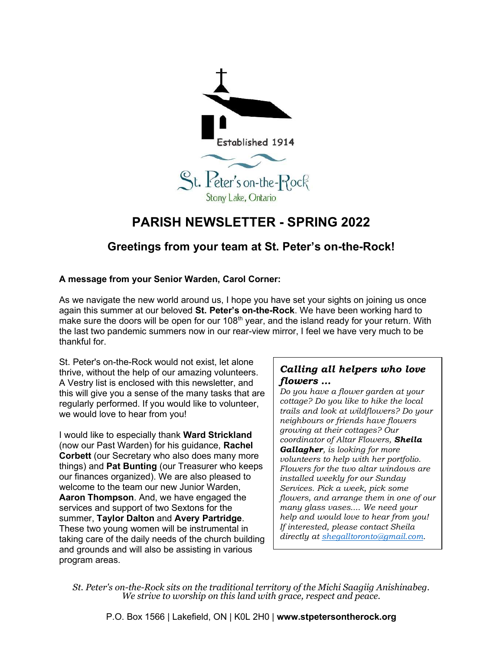

## PARISH NEWSLETTER - SPRING 2022

## Greetings from your team at St. Peter's on-the-Rock!

## A message from your Senior Warden, Carol Corner:

As we navigate the new world around us, I hope you have set your sights on joining us once again this summer at our beloved St. Peter's on-the-Rock. We have been working hard to make sure the doors will be open for our 108<sup>th</sup> year, and the island ready for your return. With the last two pandemic summers now in our rear-view mirror, I feel we have very much to be thankful for.

St. Peter's on-the-Rock would not exist, let alone thrive, without the help of our amazing volunteers. A Vestry list is enclosed with this newsletter, and this will give you a sense of the many tasks that are regularly performed. If you would like to volunteer, we would love to hear from you!

I would like to especially thank Ward Strickland (now our Past Warden) for his guidance, Rachel Corbett (our Secretary who also does many more things) and Pat Bunting (our Treasurer who keeps our finances organized). We are also pleased to welcome to the team our new Junior Warden, Aaron Thompson. And, we have engaged the services and support of two Sextons for the summer, Taylor Dalton and Avery Partridge. These two young women will be instrumental in taking care of the daily needs of the church building and grounds and will also be assisting in various program areas.

## Calling all helpers who love flowers …

Do you have a flower garden at your cottage? Do you like to hike the local trails and look at wildflowers? Do your neighbours or friends have flowers growing at their cottages? Our coordinator of Altar Flowers, Sheila Gallagher, is looking for more volunteers to help with her portfolio. Flowers for the two altar windows are installed weekly for our Sunday Services. Pick a week, pick some flowers, and arrange them in one of our many glass vases.... We need your help and would love to hear from you! If interested, please contact Sheila directly at shegalltoronto@gmail.com.

St. Peter's on-the-Rock sits on the traditional territory of the Michi Saagiig Anishinabeg. We strive to worship on this land with grace, respect and peace.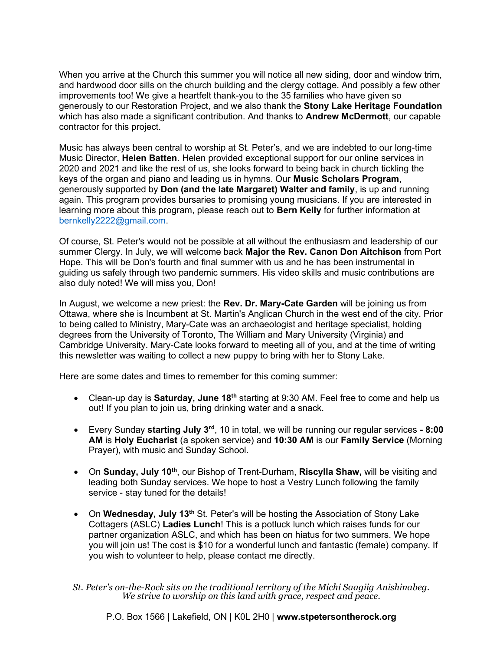When you arrive at the Church this summer you will notice all new siding, door and window trim, and hardwood door sills on the church building and the clergy cottage. And possibly a few other improvements too! We give a heartfelt thank-you to the 35 families who have given so generously to our Restoration Project, and we also thank the Stony Lake Heritage Foundation which has also made a significant contribution. And thanks to **Andrew McDermott**, our capable contractor for this project.

Music has always been central to worship at St. Peter's, and we are indebted to our long-time Music Director, Helen Batten. Helen provided exceptional support for our online services in 2020 and 2021 and like the rest of us, she looks forward to being back in church tickling the keys of the organ and piano and leading us in hymns. Our Music Scholars Program, generously supported by Don (and the late Margaret) Walter and family, is up and running again. This program provides bursaries to promising young musicians. If you are interested in learning more about this program, please reach out to Bern Kelly for further information at bernkelly2222@gmail.com.

Of course, St. Peter's would not be possible at all without the enthusiasm and leadership of our summer Clergy. In July, we will welcome back Major the Rev. Canon Don Aitchison from Port Hope. This will be Don's fourth and final summer with us and he has been instrumental in guiding us safely through two pandemic summers. His video skills and music contributions are also duly noted! We will miss you, Don!

In August, we welcome a new priest: the Rev. Dr. Mary-Cate Garden will be joining us from Ottawa, where she is Incumbent at St. Martin's Anglican Church in the west end of the city. Prior to being called to Ministry, Mary-Cate was an archaeologist and heritage specialist, holding degrees from the University of Toronto, The William and Mary University (Virginia) and Cambridge University. Mary-Cate looks forward to meeting all of you, and at the time of writing this newsletter was waiting to collect a new puppy to bring with her to Stony Lake.

Here are some dates and times to remember for this coming summer:

- Clean-up day is Saturday, June 18<sup>th</sup> starting at 9:30 AM. Feel free to come and help us out! If you plan to join us, bring drinking water and a snack.
- Every Sunday starting July 3<sup>rd</sup>, 10 in total, we will be running our regular services 8:00 AM is Holy Eucharist (a spoken service) and 10:30 AM is our Family Service (Morning Prayer), with music and Sunday School.
- On Sunday, July 10<sup>th</sup>, our Bishop of Trent-Durham, Riscylla Shaw, will be visiting and leading both Sunday services. We hope to host a Vestry Lunch following the family service - stay tuned for the details!
- On Wednesday, July 13<sup>th</sup> St. Peter's will be hosting the Association of Stony Lake Cottagers (ASLC) Ladies Lunch! This is a potluck lunch which raises funds for our partner organization ASLC, and which has been on hiatus for two summers. We hope you will join us! The cost is \$10 for a wonderful lunch and fantastic (female) company. If you wish to volunteer to help, please contact me directly.

St. Peter's on-the-Rock sits on the traditional territory of the Michi Saagiig Anishinabeg. We strive to worship on this land with grace, respect and peace.